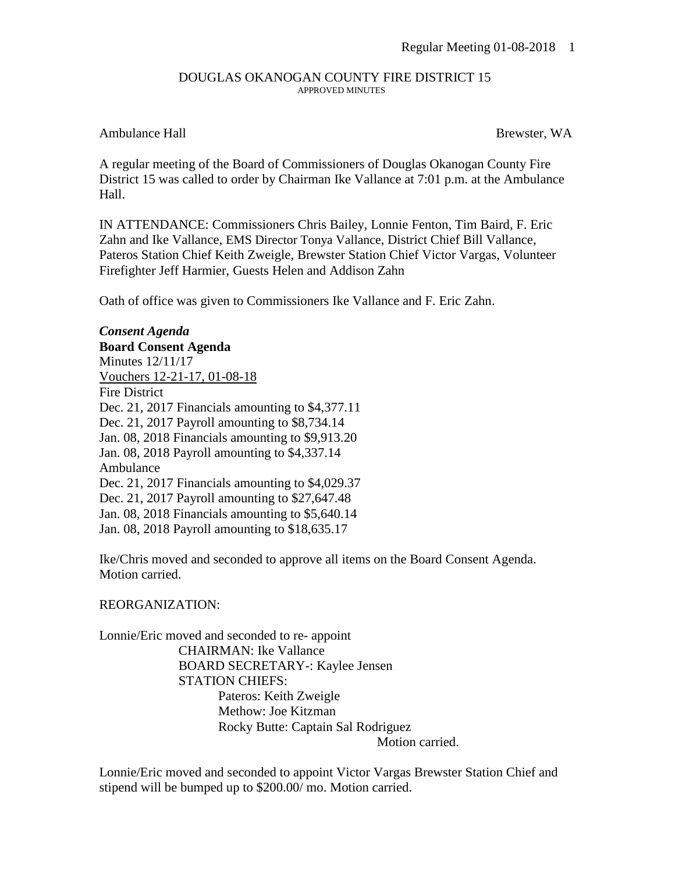## DOUGLAS OKANOGAN COUNTY FIRE DISTRICT 15 APPROVED MINUTES

## Ambulance Hall Brewster, WA

A regular meeting of the Board of Commissioners of Douglas Okanogan County Fire District 15 was called to order by Chairman Ike Vallance at 7:01 p.m. at the Ambulance Hall.

IN ATTENDANCE: Commissioners Chris Bailey, Lonnie Fenton, Tim Baird, F. Eric Zahn and Ike Vallance, EMS Director Tonya Vallance, District Chief Bill Vallance, Pateros Station Chief Keith Zweigle, Brewster Station Chief Victor Vargas, Volunteer Firefighter Jeff Harmier, Guests Helen and Addison Zahn

Oath of office was given to Commissioners Ike Vallance and F. Eric Zahn.

*Consent Agenda* **Board Consent Agenda** Minutes 12/11/17 Vouchers 12-21-17, 01-08-18 Fire District Dec. 21, 2017 Financials amounting to \$4,377.11 Dec. 21, 2017 Payroll amounting to \$8,734.14 Jan. 08, 2018 Financials amounting to \$9,913.20 Jan. 08, 2018 Payroll amounting to \$4,337.14 Ambulance Dec. 21, 2017 Financials amounting to \$4,029.37 Dec. 21, 2017 Payroll amounting to \$27,647.48 Jan. 08, 2018 Financials amounting to \$5,640.14 Jan. 08, 2018 Payroll amounting to \$18,635.17

Ike/Chris moved and seconded to approve all items on the Board Consent Agenda. Motion carried.

REORGANIZATION:

Lonnie/Eric moved and seconded to re- appoint CHAIRMAN: Ike Vallance BOARD SECRETARY-: Kaylee Jensen STATION CHIEFS: Pateros: Keith Zweigle Methow: Joe Kitzman Rocky Butte: Captain Sal Rodriguez Motion carried.

Lonnie/Eric moved and seconded to appoint Victor Vargas Brewster Station Chief and stipend will be bumped up to \$200.00/ mo. Motion carried.